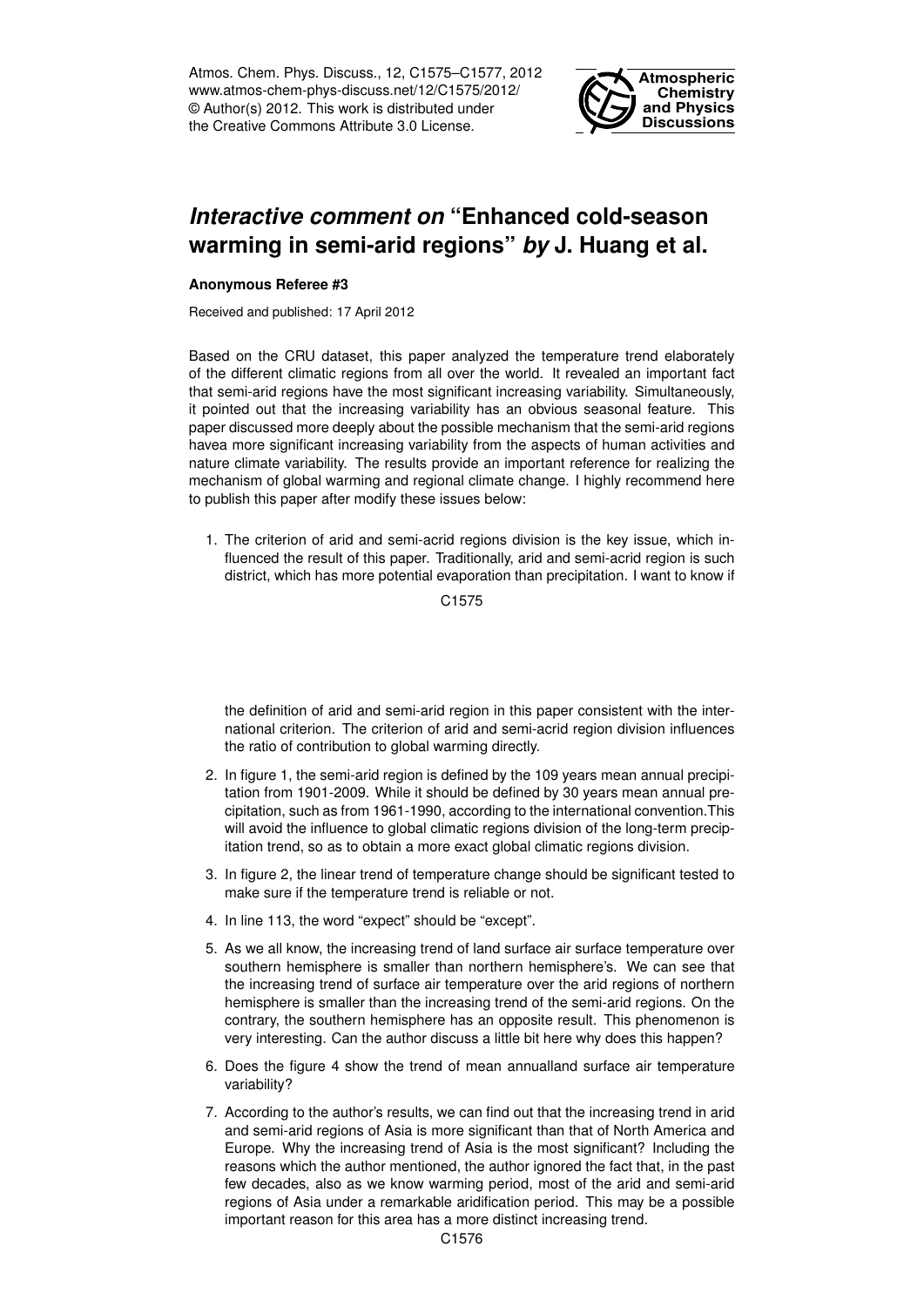Atmos. Chem. Phys. Discuss., 12, C1575–C1577, 2012 www.atmos-chem-phys-discuss.net/12/C1575/2012/ © Author(s) 2012. This work is distributed under the Creative Commons Attribute 3.0 License.



## *Interactive comment on* **"Enhanced cold-season warming in semi-arid regions"** *by* **J. Huang et al.**

## **Anonymous Referee #3**

Received and published: 17 April 2012

Based on the CRU dataset, this paper analyzed the temperature trend elaborately of the different climatic regions from all over the world. It revealed an important fact that semi-arid regions have the most significant increasing variability. Simultaneously, it pointed out that the increasing variability has an obvious seasonal feature. This paper discussed more deeply about the possible mechanism that the semi-arid regions havea more significant increasing variability from the aspects of human activities and nature climate variability. The results provide an important reference for realizing the mechanism of global warming and regional climate change. I highly recommend here to publish this paper after modify these issues below:

1. The criterion of arid and semi-acrid regions division is the key issue, which influenced the result of this paper. Traditionally, arid and semi-acrid region is such district, which has more potential evaporation than precipitation. I want to know if

C1575

the definition of arid and semi-arid region in this paper consistent with the international criterion. The criterion of arid and semi-acrid region division influences the ratio of contribution to global warming directly.

- 2. In figure 1, the semi-arid region is defined by the 109 years mean annual precipitation from 1901-2009. While it should be defined by 30 years mean annual precipitation, such as from 1961-1990, according to the international convention.This will avoid the influence to global climatic regions division of the long-term precipitation trend, so as to obtain a more exact global climatic regions division.
- 3. In figure 2, the linear trend of temperature change should be significant tested to make sure if the temperature trend is reliable or not.
- 4. In line 113, the word "expect" should be "except".
- 5. As we all know, the increasing trend of land surface air surface temperature over southern hemisphere is smaller than northern hemisphere's. We can see that the increasing trend of surface air temperature over the arid regions of northern hemisphere is smaller than the increasing trend of the semi-arid regions. On the contrary, the southern hemisphere has an opposite result. This phenomenon is very interesting. Can the author discuss a little bit here why does this happen?
- 6. Does the figure 4 show the trend of mean annualland surface air temperature variability?
- 7. According to the author's results, we can find out that the increasing trend in arid and semi-arid regions of Asia is more significant than that of North America and Europe. Why the increasing trend of Asia is the most significant? Including the reasons which the author mentioned, the author ignored the fact that, in the past few decades, also as we know warming period, most of the arid and semi-arid regions of Asia under a remarkable aridification period. This may be a possible important reason for this area has a more distinct increasing trend.